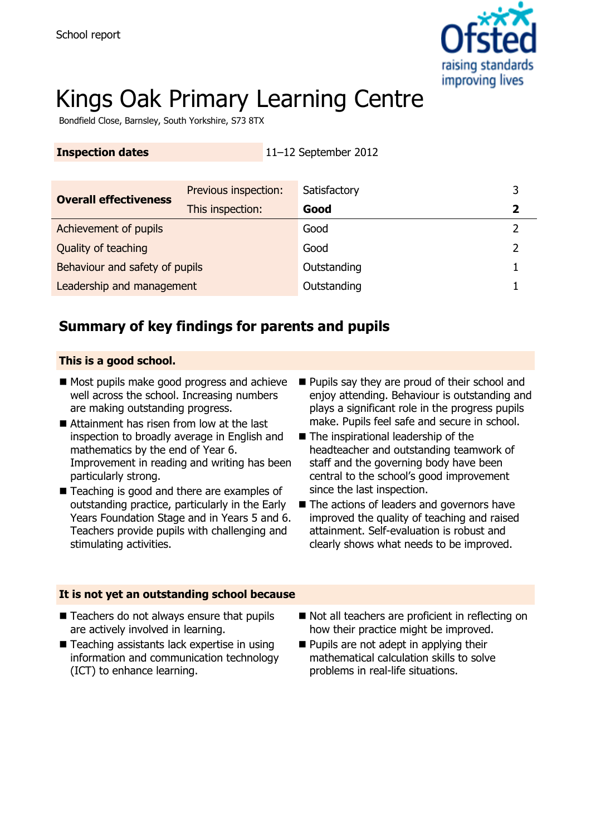

# Kings Oak Primary Learning Centre

Bondfield Close, Barnsley, South Yorkshire, S73 8TX

**Inspection dates** 11–12 September 2012

| <b>Inspection dates</b>        |                      | 11–12 September 2012 |   |
|--------------------------------|----------------------|----------------------|---|
|                                |                      |                      |   |
| <b>Overall effectiveness</b>   | Previous inspection: | Satisfactory         | 3 |
|                                | This inspection:     | Good                 |   |
| Achievement of pupils          |                      | Good                 |   |
| Quality of teaching            |                      | Good                 |   |
| Behaviour and safety of pupils |                      | Outstanding          |   |
| Leadership and management      |                      | Outstanding          |   |
|                                |                      |                      |   |

# **Summary of key findings for parents and pupils**

#### **This is a good school.**

- Most pupils make good progress and achieve well across the school. Increasing numbers are making outstanding progress.
- Attainment has risen from low at the last inspection to broadly average in English and mathematics by the end of Year 6. Improvement in reading and writing has been particularly strong.
- Teaching is good and there are examples of outstanding practice, particularly in the Early Years Foundation Stage and in Years 5 and 6. Teachers provide pupils with challenging and stimulating activities.
- **Pupils say they are proud of their school and** enjoy attending. Behaviour is outstanding and plays a significant role in the progress pupils make. Pupils feel safe and secure in school.
- The inspirational leadership of the headteacher and outstanding teamwork of staff and the governing body have been central to the school's good improvement since the last inspection.
- The actions of leaders and governors have improved the quality of teaching and raised attainment. Self-evaluation is robust and clearly shows what needs to be improved.

#### **It is not yet an outstanding school because**

- Teachers do not always ensure that pupils are actively involved in learning.
- Teaching assistants lack expertise in using information and communication technology (ICT) to enhance learning.
- Not all teachers are proficient in reflecting on how their practice might be improved.
- **Pupils are not adept in applying their** mathematical calculation skills to solve problems in real-life situations.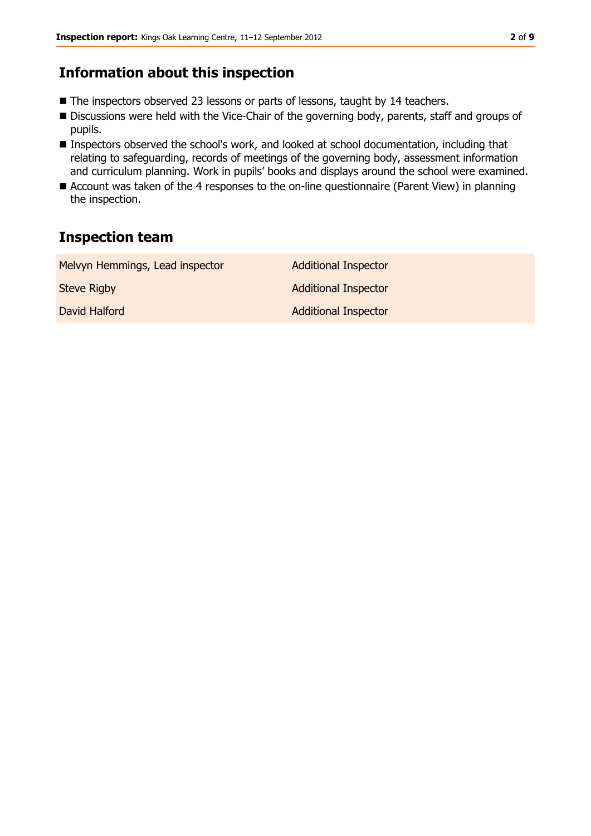### **Information about this inspection**

- The inspectors observed 23 lessons or parts of lessons, taught by 14 teachers.
- Discussions were held with the Vice-Chair of the governing body, parents, staff and groups of pupils.
- Inspectors observed the school's work, and looked at school documentation, including that relating to safeguarding, records of meetings of the governing body, assessment information and curriculum planning. Work in pupils' books and displays around the school were examined.
- Account was taken of the 4 responses to the on-line questionnaire (Parent View) in planning the inspection.

## **Inspection team**

| Melvyn Hemmings, Lead inspector | <b>Additional Inspector</b> |
|---------------------------------|-----------------------------|
| <b>Steve Rigby</b>              | <b>Additional Inspector</b> |
| David Halford                   | <b>Additional Inspector</b> |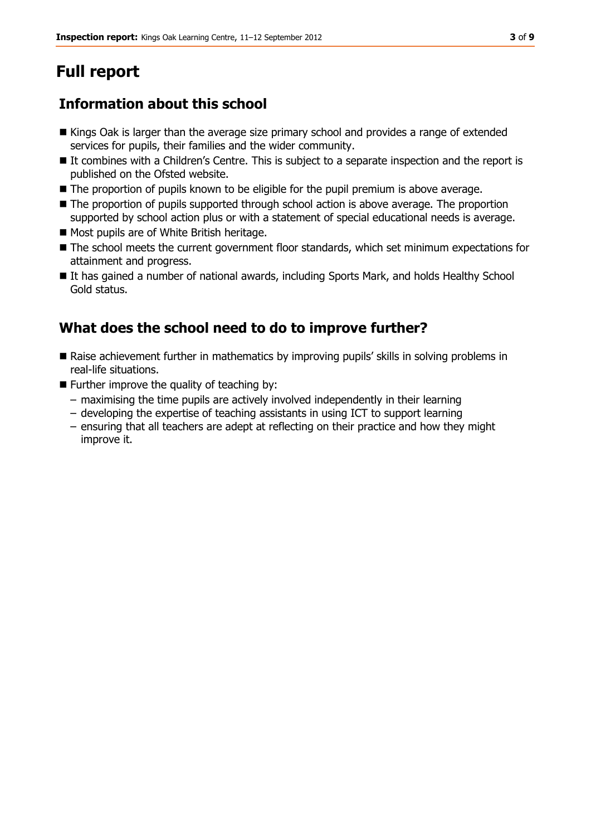# **Full report**

# **Information about this school**

- Kings Oak is larger than the average size primary school and provides a range of extended services for pupils, their families and the wider community.
- It combines with a Children's Centre. This is subject to a separate inspection and the report is published on the Ofsted website.
- The proportion of pupils known to be eligible for the pupil premium is above average.
- The proportion of pupils supported through school action is above average. The proportion supported by school action plus or with a statement of special educational needs is average.
- Most pupils are of White British heritage.
- $\blacksquare$  The school meets the current government floor standards, which set minimum expectations for attainment and progress.
- It has gained a number of national awards, including Sports Mark, and holds Healthy School Gold status.

# **What does the school need to do to improve further?**

- Raise achievement further in mathematics by improving pupils' skills in solving problems in real-life situations.
- $\blacksquare$  Further improve the quality of teaching by:
	- maximising the time pupils are actively involved independently in their learning
	- developing the expertise of teaching assistants in using ICT to support learning
	- ensuring that all teachers are adept at reflecting on their practice and how they might improve it.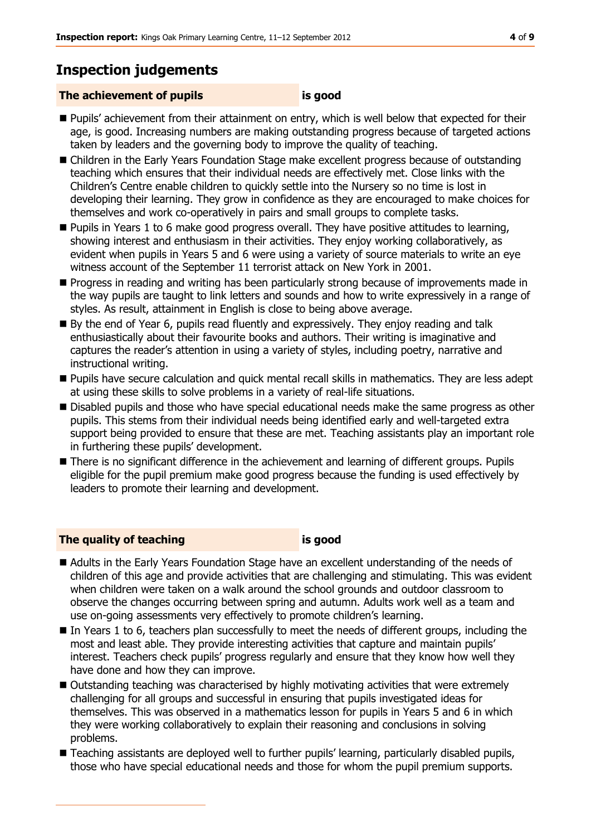## **Inspection judgements**

#### **The achievement of pupils is good**

- **Pupils' achievement from their attainment on entry, which is well below that expected for their** age, is good. Increasing numbers are making outstanding progress because of targeted actions taken by leaders and the governing body to improve the quality of teaching.
- Children in the Early Years Foundation Stage make excellent progress because of outstanding teaching which ensures that their individual needs are effectively met. Close links with the Children's Centre enable children to quickly settle into the Nursery so no time is lost in developing their learning. They grow in confidence as they are encouraged to make choices for themselves and work co-operatively in pairs and small groups to complete tasks.
- **Pupils in Years 1 to 6 make good progress overall. They have positive attitudes to learning,** showing interest and enthusiasm in their activities. They enjoy working collaboratively, as evident when pupils in Years 5 and 6 were using a variety of source materials to write an eye witness account of the September 11 terrorist attack on New York in 2001.
- **Progress in reading and writing has been particularly strong because of improvements made in** the way pupils are taught to link letters and sounds and how to write expressively in a range of styles. As result, attainment in English is close to being above average.
- By the end of Year 6, pupils read fluently and expressively. They enjoy reading and talk enthusiastically about their favourite books and authors. Their writing is imaginative and captures the reader's attention in using a variety of styles, including poetry, narrative and instructional writing.
- **Pupils have secure calculation and quick mental recall skills in mathematics. They are less adept** at using these skills to solve problems in a variety of real-life situations.
- Disabled pupils and those who have special educational needs make the same progress as other pupils. This stems from their individual needs being identified early and well-targeted extra support being provided to ensure that these are met. Teaching assistants play an important role in furthering these pupils' development.
- **There is no significant difference in the achievement and learning of different groups. Pupils** eligible for the pupil premium make good progress because the funding is used effectively by leaders to promote their learning and development.

#### **The quality of teaching is good**

- Adults in the Early Years Foundation Stage have an excellent understanding of the needs of children of this age and provide activities that are challenging and stimulating. This was evident when children were taken on a walk around the school grounds and outdoor classroom to observe the changes occurring between spring and autumn. Adults work well as a team and use on-going assessments very effectively to promote children's learning.
- In Years 1 to 6, teachers plan successfully to meet the needs of different groups, including the most and least able. They provide interesting activities that capture and maintain pupils' interest. Teachers check pupils' progress regularly and ensure that they know how well they have done and how they can improve.
- Outstanding teaching was characterised by highly motivating activities that were extremely challenging for all groups and successful in ensuring that pupils investigated ideas for themselves. This was observed in a mathematics lesson for pupils in Years 5 and 6 in which they were working collaboratively to explain their reasoning and conclusions in solving problems.
- Teaching assistants are deployed well to further pupils' learning, particularly disabled pupils, those who have special educational needs and those for whom the pupil premium supports.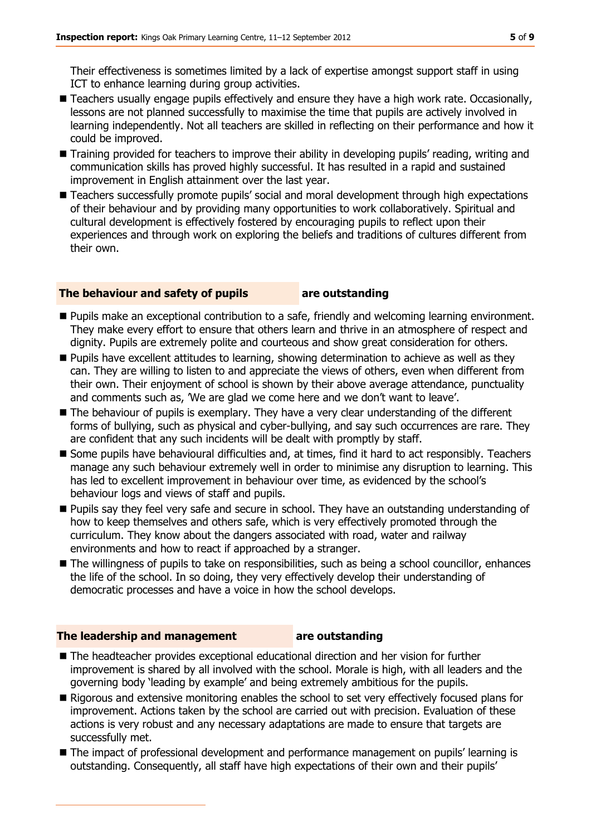Their effectiveness is sometimes limited by a lack of expertise amongst support staff in using ICT to enhance learning during group activities.

- Teachers usually engage pupils effectively and ensure they have a high work rate. Occasionally, lessons are not planned successfully to maximise the time that pupils are actively involved in learning independently. Not all teachers are skilled in reflecting on their performance and how it could be improved.
- Training provided for teachers to improve their ability in developing pupils' reading, writing and communication skills has proved highly successful. It has resulted in a rapid and sustained improvement in English attainment over the last year.
- **Teachers successfully promote pupils' social and moral development through high expectations** of their behaviour and by providing many opportunities to work collaboratively. Spiritual and cultural development is effectively fostered by encouraging pupils to reflect upon their experiences and through work on exploring the beliefs and traditions of cultures different from their own.

#### **The behaviour and safety of pupils are outstanding**

- **Pupils make an exceptional contribution to a safe, friendly and welcoming learning environment.** They make every effort to ensure that others learn and thrive in an atmosphere of respect and dignity. Pupils are extremely polite and courteous and show great consideration for others.
- **Pupils have excellent attitudes to learning, showing determination to achieve as well as they** can. They are willing to listen to and appreciate the views of others, even when different from their own. Their enjoyment of school is shown by their above average attendance, punctuality and comments such as, 'We are glad we come here and we don't want to leave'.
- The behaviour of pupils is exemplary. They have a very clear understanding of the different forms of bullying, such as physical and cyber-bullying, and say such occurrences are rare. They are confident that any such incidents will be dealt with promptly by staff.
- Some pupils have behavioural difficulties and, at times, find it hard to act responsibly. Teachers manage any such behaviour extremely well in order to minimise any disruption to learning. This has led to excellent improvement in behaviour over time, as evidenced by the school's behaviour logs and views of staff and pupils.
- **Pupils say they feel very safe and secure in school. They have an outstanding understanding of** how to keep themselves and others safe, which is very effectively promoted through the curriculum. They know about the dangers associated with road, water and railway environments and how to react if approached by a stranger.
- The willingness of pupils to take on responsibilities, such as being a school councillor, enhances the life of the school. In so doing, they very effectively develop their understanding of democratic processes and have a voice in how the school develops.

#### **The leadership and management are outstanding**

- The headteacher provides exceptional educational direction and her vision for further improvement is shared by all involved with the school. Morale is high, with all leaders and the governing body 'leading by example' and being extremely ambitious for the pupils.
- Rigorous and extensive monitoring enables the school to set very effectively focused plans for improvement. Actions taken by the school are carried out with precision. Evaluation of these actions is very robust and any necessary adaptations are made to ensure that targets are successfully met.
- **The impact of professional development and performance management on pupils' learning is** outstanding. Consequently, all staff have high expectations of their own and their pupils'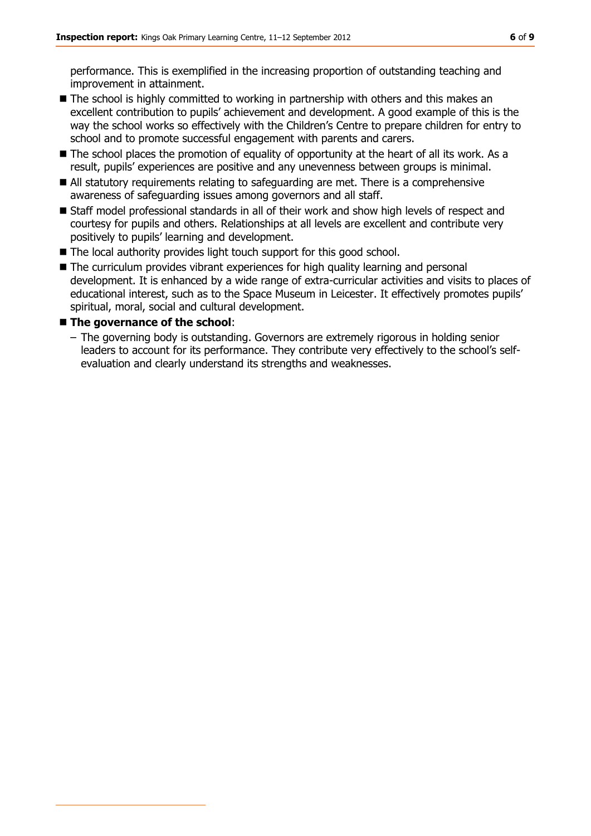performance. This is exemplified in the increasing proportion of outstanding teaching and improvement in attainment.

- The school is highly committed to working in partnership with others and this makes an excellent contribution to pupils' achievement and development. A good example of this is the way the school works so effectively with the Children's Centre to prepare children for entry to school and to promote successful engagement with parents and carers.
- The school places the promotion of equality of opportunity at the heart of all its work. As a result, pupils' experiences are positive and any unevenness between groups is minimal.
- All statutory requirements relating to safeguarding are met. There is a comprehensive awareness of safeguarding issues among governors and all staff.
- Staff model professional standards in all of their work and show high levels of respect and courtesy for pupils and others. Relationships at all levels are excellent and contribute very positively to pupils' learning and development.
- The local authority provides light touch support for this good school.
- The curriculum provides vibrant experiences for high quality learning and personal development. It is enhanced by a wide range of extra-curricular activities and visits to places of educational interest, such as to the Space Museum in Leicester. It effectively promotes pupils' spiritual, moral, social and cultural development.

#### **The governance of the school**:

– The governing body is outstanding. Governors are extremely rigorous in holding senior leaders to account for its performance. They contribute very effectively to the school's selfevaluation and clearly understand its strengths and weaknesses.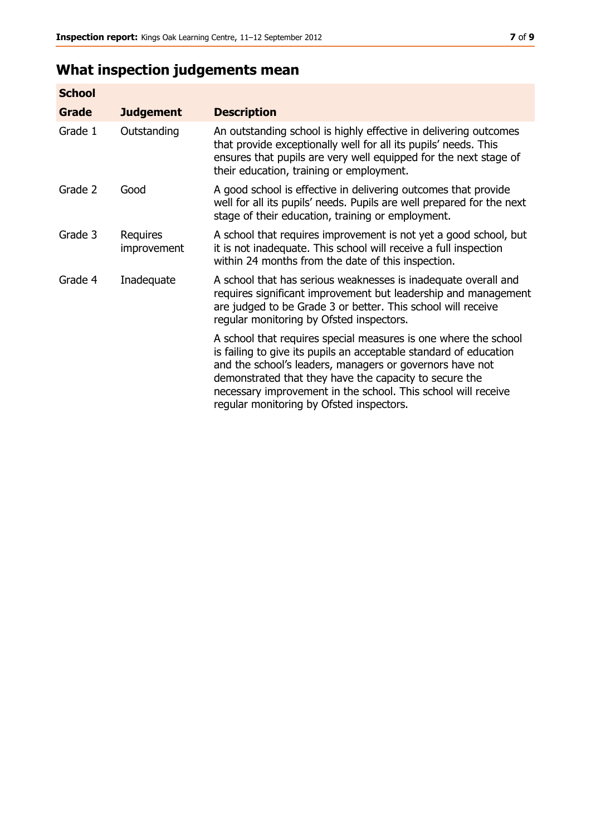# **What inspection judgements mean**

| <b>School</b> |                         |                                                                                                                                                                                                                                                                                                                                                                         |
|---------------|-------------------------|-------------------------------------------------------------------------------------------------------------------------------------------------------------------------------------------------------------------------------------------------------------------------------------------------------------------------------------------------------------------------|
| <b>Grade</b>  | <b>Judgement</b>        | <b>Description</b>                                                                                                                                                                                                                                                                                                                                                      |
| Grade 1       | Outstanding             | An outstanding school is highly effective in delivering outcomes<br>that provide exceptionally well for all its pupils' needs. This<br>ensures that pupils are very well equipped for the next stage of<br>their education, training or employment.                                                                                                                     |
| Grade 2       | Good                    | A good school is effective in delivering outcomes that provide<br>well for all its pupils' needs. Pupils are well prepared for the next<br>stage of their education, training or employment.                                                                                                                                                                            |
| Grade 3       | Requires<br>improvement | A school that requires improvement is not yet a good school, but<br>it is not inadequate. This school will receive a full inspection<br>within 24 months from the date of this inspection.                                                                                                                                                                              |
| Grade 4       | Inadequate              | A school that has serious weaknesses is inadequate overall and<br>requires significant improvement but leadership and management<br>are judged to be Grade 3 or better. This school will receive<br>regular monitoring by Ofsted inspectors.                                                                                                                            |
|               |                         | A school that requires special measures is one where the school<br>is failing to give its pupils an acceptable standard of education<br>and the school's leaders, managers or governors have not<br>demonstrated that they have the capacity to secure the<br>necessary improvement in the school. This school will receive<br>regular monitoring by Ofsted inspectors. |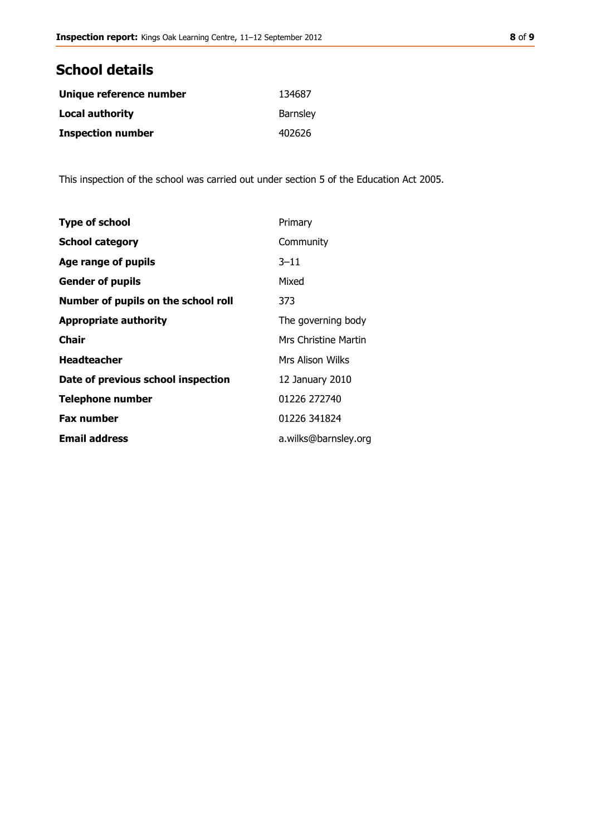# **School details**

| Unique reference number  | 134687          |
|--------------------------|-----------------|
| <b>Local authority</b>   | <b>Barnsley</b> |
| <b>Inspection number</b> | 402626          |

This inspection of the school was carried out under section 5 of the Education Act 2005.

| <b>Type of school</b>               | Primary              |
|-------------------------------------|----------------------|
| <b>School category</b>              | Community            |
| Age range of pupils                 | $3 - 11$             |
| <b>Gender of pupils</b>             | Mixed                |
| Number of pupils on the school roll | 373                  |
| <b>Appropriate authority</b>        | The governing body   |
| Chair                               | Mrs Christine Martin |
| <b>Headteacher</b>                  | Mrs Alison Wilks     |
| Date of previous school inspection  | 12 January 2010      |
| <b>Telephone number</b>             | 01226 272740         |
| <b>Fax number</b>                   | 01226 341824         |
| <b>Email address</b>                | a.wilks@barnsley.org |